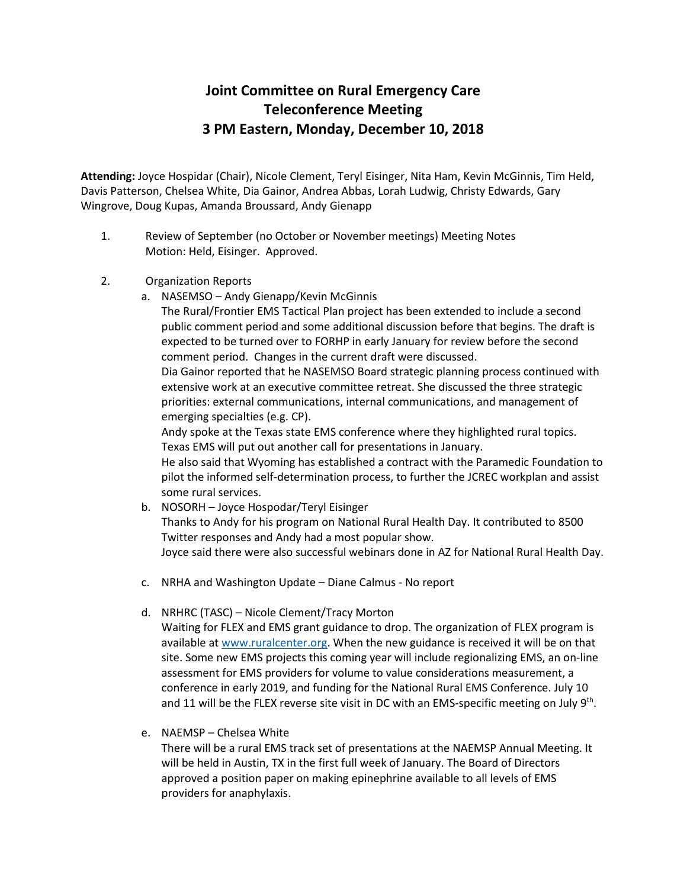## **Joint Committee on Rural Emergency Care Teleconference Meeting 3 PM Eastern, Monday, December 10, 2018**

**Attending:** Joyce Hospidar (Chair), Nicole Clement, Teryl Eisinger, Nita Ham, Kevin McGinnis, Tim Held, Davis Patterson, Chelsea White, Dia Gainor, Andrea Abbas, Lorah Ludwig, Christy Edwards, Gary Wingrove, Doug Kupas, Amanda Broussard, Andy Gienapp

- 1. Review of September (no October or November meetings) Meeting Notes Motion: Held, Eisinger. Approved.
- 2. Organization Reports
	- a. NASEMSO Andy Gienapp/Kevin McGinnis

The Rural/Frontier EMS Tactical Plan project has been extended to include a second public comment period and some additional discussion before that begins. The draft is expected to be turned over to FORHP in early January for review before the second comment period. Changes in the current draft were discussed.

Dia Gainor reported that he NASEMSO Board strategic planning process continued with extensive work at an executive committee retreat. She discussed the three strategic priorities: external communications, internal communications, and management of emerging specialties (e.g. CP).

Andy spoke at the Texas state EMS conference where they highlighted rural topics. Texas EMS will put out another call for presentations in January.

He also said that Wyoming has established a contract with the Paramedic Foundation to pilot the informed self-determination process, to further the JCREC workplan and assist some rural services.

- b. NOSORH Joyce Hospodar/Teryl Eisinger Thanks to Andy for his program on National Rural Health Day. It contributed to 8500 Twitter responses and Andy had a most popular show. Joyce said there were also successful webinars done in AZ for National Rural Health Day.
- c. NRHA and Washington Update Diane Calmus No report
- d. NRHRC (TASC) Nicole Clement/Tracy Morton

Waiting for FLEX and EMS grant guidance to drop. The organization of FLEX program is available at [www.ruralcenter.org.](http://www.ruralcenter.org/) When the new guidance is received it will be on that site. Some new EMS projects this coming year will include regionalizing EMS, an on-line assessment for EMS providers for volume to value considerations measurement, a conference in early 2019, and funding for the National Rural EMS Conference. July 10 and 11 will be the FLEX reverse site visit in DC with an EMS-specific meeting on July 9<sup>th</sup>.

e. NAEMSP – Chelsea White

There will be a rural EMS track set of presentations at the NAEMSP Annual Meeting. It will be held in Austin, TX in the first full week of January. The Board of Directors approved a position paper on making epinephrine available to all levels of EMS providers for anaphylaxis.